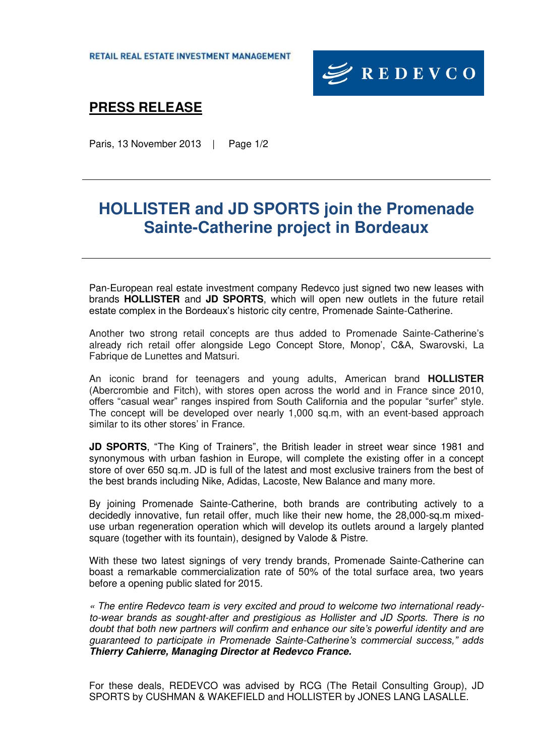RETAIL REAL ESTATE INVESTMENT MANAGEMENT



### **PRESS RELEASE**

Paris, 13 November 2013 | Page 1/2

# **HOLLISTER and JD SPORTS join the Promenade Sainte-Catherine project in Bordeaux**

Pan-European real estate investment company Redevco just signed two new leases with brands **HOLLISTER** and **JD SPORTS**, which will open new outlets in the future retail estate complex in the Bordeaux's historic city centre, Promenade Sainte-Catherine.

Another two strong retail concepts are thus added to Promenade Sainte-Catherine's already rich retail offer alongside Lego Concept Store, Monop', C&A, Swarovski, La Fabrique de Lunettes and Matsuri.

An iconic brand for teenagers and young adults, American brand **HOLLISTER** (Abercrombie and Fitch), with stores open across the world and in France since 2010, offers "casual wear" ranges inspired from South California and the popular "surfer" style. The concept will be developed over nearly 1,000 sq.m, with an event-based approach similar to its other stores' in France.

**JD SPORTS**, "The King of Trainers", the British leader in street wear since 1981 and synonymous with urban fashion in Europe, will complete the existing offer in a concept store of over 650 sq.m. JD is full of the latest and most exclusive trainers from the best of the best brands including Nike, Adidas, Lacoste, New Balance and many more.

By joining Promenade Sainte-Catherine, both brands are contributing actively to a decidedly innovative, fun retail offer, much like their new home, the 28,000-sq.m mixeduse urban regeneration operation which will develop its outlets around a largely planted square (together with its fountain), designed by Valode & Pistre.

With these two latest signings of very trendy brands, Promenade Sainte-Catherine can boast a remarkable commercialization rate of 50% of the total surface area, two years before a opening public slated for 2015.

*« The entire Redevco team is very excited and proud to welcome two international readyto-wear brands as sought-after and prestigious as Hollister and JD Sports. There is no doubt that both new partners will confirm and enhance our site's powerful identity and are guaranteed to participate in Promenade Sainte-Catherine's commercial success," adds Thierry Cahierre, Managing Director at Redevco France.* 

For these deals, REDEVCO was advised by RCG (The Retail Consulting Group), JD SPORTS by CUSHMAN & WAKEFIELD and HOLLISTER by JONES LANG LASALLE.